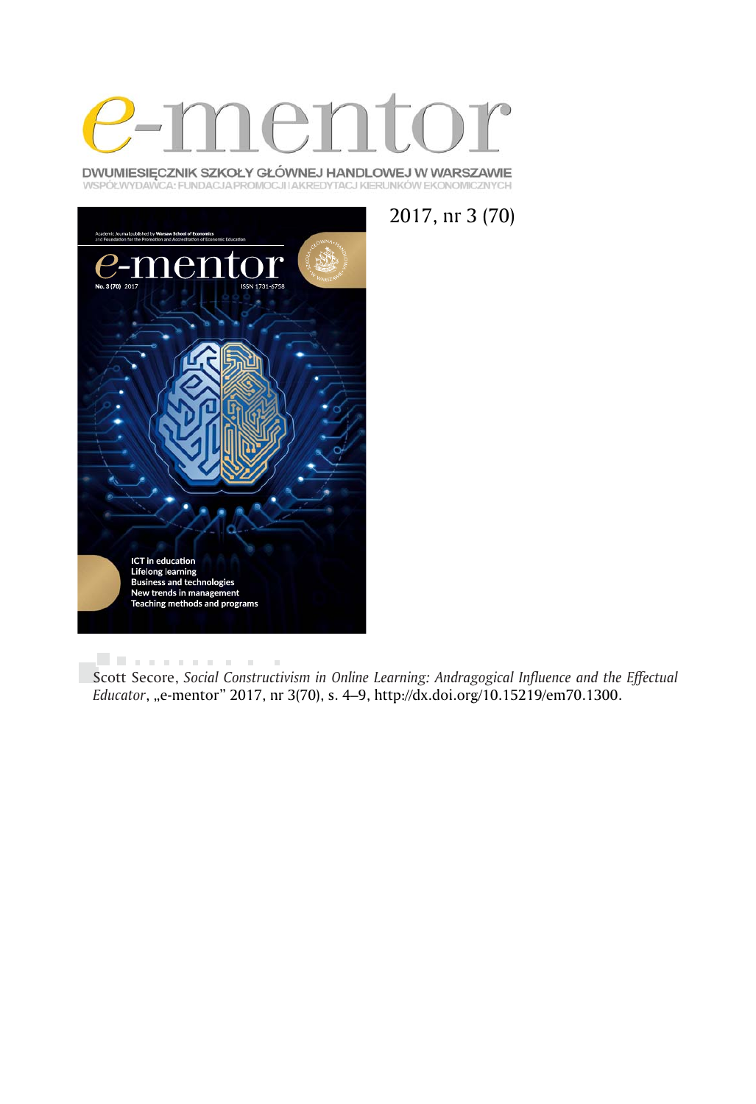

DWUMIESIĘCZNIK SZKOŁY GŁÓWNEJ HANDLOWEJ W WARSZAWIE WSPÓŁWYDAWCA: FUNDACJA PROMOCJI I AKREDYTACJ KIERUNKÓW EKONOMICZNYCH





. . . . . . . . . . .  $\bar{a}$ Scott Secore, *Social Constructivism in Online Learning: Andragogical Influence and the Effectual Educator*, "e-mentor" 2017, nr 3(70), s. 4–9, http://dx.doi.org/10.15219/em70.1300.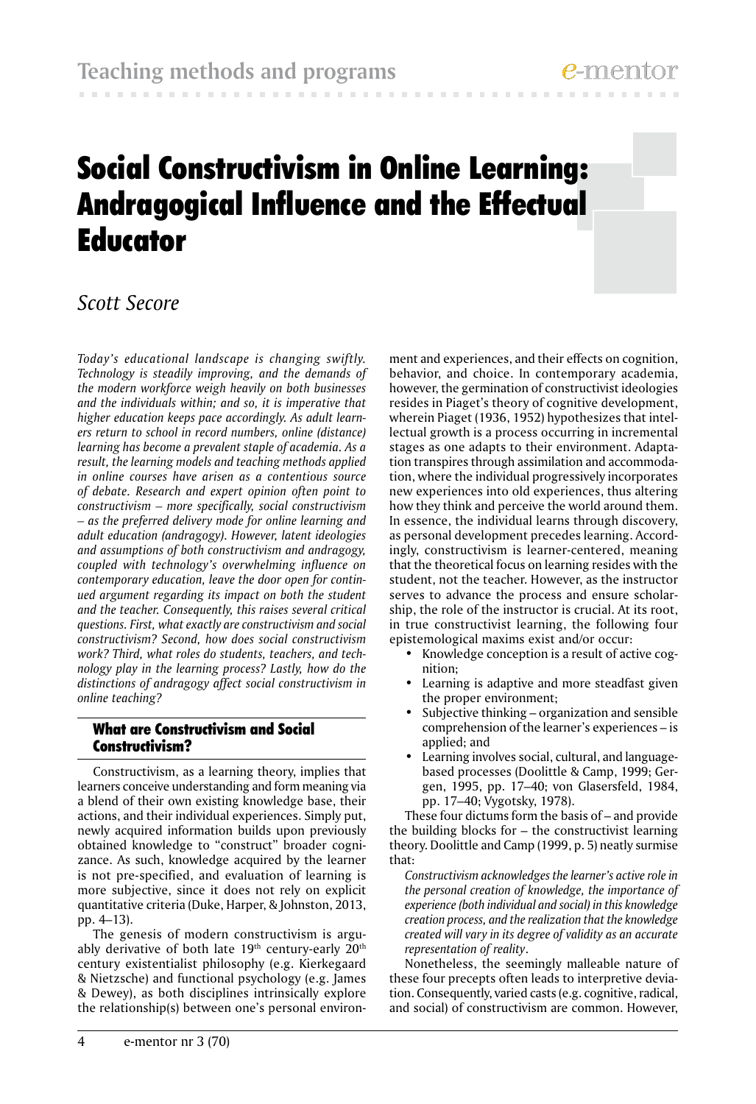**CONTRACTOR** 

# Social Constructivism in Online Learning: Andragogical Influence and the Effectual **Educator**

# *Scott Secore*

*Today's educational landscape is changing swiftly. Technology is steadily improving, and the demands of the modern workforce weigh heavily on both businesses and the individuals within; and so, it is imperative that higher education keeps pace accordingly. As adult learners return to school in record numbers, online (distance) learning has become a prevalent staple of academia. As a result, the learning models and teaching methods applied in online courses have arisen as a contentious source of debate. Research and expert opinion often point to constructivism – more specifically, social constructivism – as the preferred delivery mode for online learning and adult education (andragogy). However, latent ideologies and assumptions of both constructivism and andragogy, coupled with technology's overwhelming influence on contemporary education, leave the door open for continued argument regarding its impact on both the student and the teacher. Consequently, this raises several critical questions. First, what exactly are constructivism and social constructivism? Second, how does social constructivism work? Third, what roles do students, teachers, and technology play in the learning process? Lastly, how do the distinctions of andragogy affect social constructivism in online teaching?*

# What are Constructivism and Social Constructivism?

Constructivism, as a learning theory, implies that learners conceive understanding and form meaning via a blend of their own existing knowledge base, their actions, and their individual experiences. Simply put, newly acquired information builds upon previously obtained knowledge to "construct" broader cognizance. As such, knowledge acquired by the learner is not pre-specified, and evaluation of learning is more subjective, since it does not rely on explicit quantitative criteria (Duke, Harper, & Johnston, 2013, pp. 4–13).

The genesis of modern constructivism is arguably derivative of both late  $19<sup>th</sup>$  century-early  $20<sup>th</sup>$ century existentialist philosophy (e.g. Kierkegaard & Nietzsche) and functional psychology (e.g. James & Dewey), as both disciplines intrinsically explore the relationship(s) between one's personal environment and experiences, and their effects on cognition, behavior, and choice. In contemporary academia, however, the germination of constructivist ideologies resides in Piaget's theory of cognitive development, wherein Piaget (1936, 1952) hypothesizes that intellectual growth is a process occurring in incremental stages as one adapts to their environment. Adaptation transpires through assimilation and accommodation, where the individual progressively incorporates new experiences into old experiences, thus altering how they think and perceive the world around them. In essence, the individual learns through discovery, as personal development precedes learning. Accordingly, constructivism is learner-centered, meaning that the theoretical focus on learning resides with the student, not the teacher. However, as the instructor serves to advance the process and ensure scholarship, the role of the instructor is crucial. At its root, in true constructivist learning, the following four epistemological maxims exist and/or occur:

- Knowledge conception is a result of active cognition;
- Learning is adaptive and more steadfast given the proper environment;
- Subjective thinking organization and sensible comprehension of the learner's experiences – is applied; and
- Learning involves social, cultural, and languagebased processes (Doolittle & Camp, 1999; Gergen, 1995, pp. 17–40; von Glasersfeld, 1984, pp. 17–40; Vygotsky, 1978).

These four dictums form the basis of – and provide the building blocks for – the constructivist learning theory. Doolittle and Camp (1999, p. 5) neatly surmise that:

 *Constructivism acknowledges the learner's active role in the personal creation of knowledge, the importance of experience (both individual and social) in this knowledge creation process, and the realization that the knowledge created will vary in its degree of validity as an accurate representation of reality*.

Nonetheless, the seemingly malleable nature of these four precepts often leads to interpretive deviation. Consequently, varied casts (e.g. cognitive, radical, and social) of constructivism are common. However,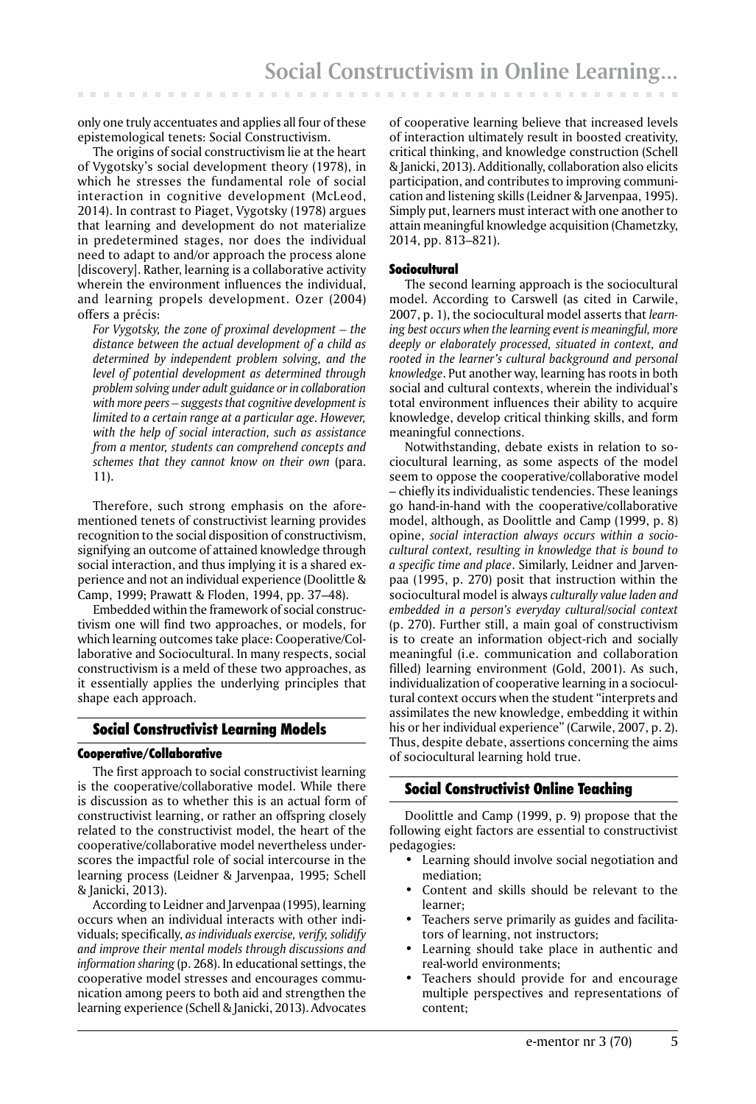only one truly accentuates and applies all four of these epistemological tenets: Social Constructivism.

The origins of social constructivism lie at the heart of Vygotsky's social development theory (1978), in which he stresses the fundamental role of social interaction in cognitive development (McLeod, 2014). In contrast to Piaget, Vygotsky (1978) argues that learning and development do not materialize in predetermined stages, nor does the individual need to adapt to and/or approach the process alone [discovery]. Rather, learning is a collaborative activity wherein the environment influences the individual, and learning propels development. Ozer (2004) offers a précis:

 *For Vygotsky, the zone of proximal development – the distance between the actual development of a child as determined by independent problem solving, and the level of potential development as determined through problem solving under adult guidance or in collaboration with more peers – suggests that cognitive development is limited to a certain range at a particular age. However, with the help of social interaction, such as assistance from a mentor, students can comprehend concepts and schemes that they cannot know on their own* (para. 11).

Therefore, such strong emphasis on the aforementioned tenets of constructivist learning provides recognition to the social disposition of constructivism, signifying an outcome of attained knowledge through social interaction, and thus implying it is a shared experience and not an individual experience (Doolittle & Camp, 1999; Prawatt & Floden, 1994, pp. 37–48).

Embedded within the framework of social constructivism one will find two approaches, or models, for which learning outcomes take place: Cooperative/Collaborative and Sociocultural. In many respects, social constructivism is a meld of these two approaches, as it essentially applies the underlying principles that shape each approach.

#### Social Constructivist Learning Models

#### Cooperative/Collaborative

The first approach to social constructivist learning is the cooperative/collaborative model. While there is discussion as to whether this is an actual form of constructivist learning, or rather an offspring closely related to the constructivist model, the heart of the cooperative/collaborative model nevertheless underscores the impactful role of social intercourse in the learning process (Leidner & Jarvenpaa, 1995; Schell & Janicki, 2013).

According to Leidner and Jarvenpaa (1995), learning occurs when an individual interacts with other individuals; specifically, *as individuals exercise, verify, solidify and improve their mental models through discussions and information sharing* (p. 268). In educational settings, the cooperative model stresses and encourages communication among peers to both aid and strengthen the learning experience (Schell & Janicki, 2013). Advocates

of cooperative learning believe that increased levels of interaction ultimately result in boosted creativity, critical thinking, and knowledge construction (Schell & Janicki, 2013). Additionally, collaboration also elicits participation, and contributes to improving communication and listening skills (Leidner & Jarvenpaa, 1995). Simply put, learners must interact with one another to attain meaningful knowledge acquisition (Chametzky, 2014, pp. 813–821).

#### Sociocultural

The second learning approach is the sociocultural model. According to Carswell (as cited in Carwile, 2007, p. 1), the sociocultural model asserts that *learning best occurs when the learning event is meaningful, more deeply or elaborately processed, situated in context, and rooted in the learner's cultural background and personal knowledge*. Put another way, learning has roots in both social and cultural contexts, wherein the individual's total environment influences their ability to acquire knowledge, develop critical thinking skills, and form meaningful connections.

Notwithstanding, debate exists in relation to sociocultural learning, as some aspects of the model seem to oppose the cooperative/collaborative model – chiefly its individualistic tendencies. These leanings go hand-in-hand with the cooperative/collaborative model, although, as Doolittle and Camp (1999, p. 8) opine, *social interaction always occurs within a sociocultural context, resulting in knowledge that is bound to a specific time and place*. Similarly, Leidner and Jarvenpaa (1995, p. 270) posit that instruction within the sociocultural model is always *culturally value laden and embedded in a person's everyday cultural/social context* (p. 270). Further still, a main goal of constructivism is to create an information object-rich and socially meaningful (i.e. communication and collaboration filled) learning environment (Gold, 2001). As such, individualization of cooperative learning in a sociocultural context occurs when the student "interprets and assimilates the new knowledge, embedding it within his or her individual experience" (Carwile, 2007, p. 2). Thus, despite debate, assertions concerning the aims of sociocultural learning hold true.

## Social Constructivist Online Teaching

Doolittle and Camp (1999, p. 9) propose that the following eight factors are essential to constructivist pedagogies:

- Learning should involve social negotiation and mediation;
- Content and skills should be relevant to the learner;
- Teachers serve primarily as guides and facilitators of learning, not instructors;
- Learning should take place in authentic and real-world environments;
- Teachers should provide for and encourage multiple perspectives and representations of content;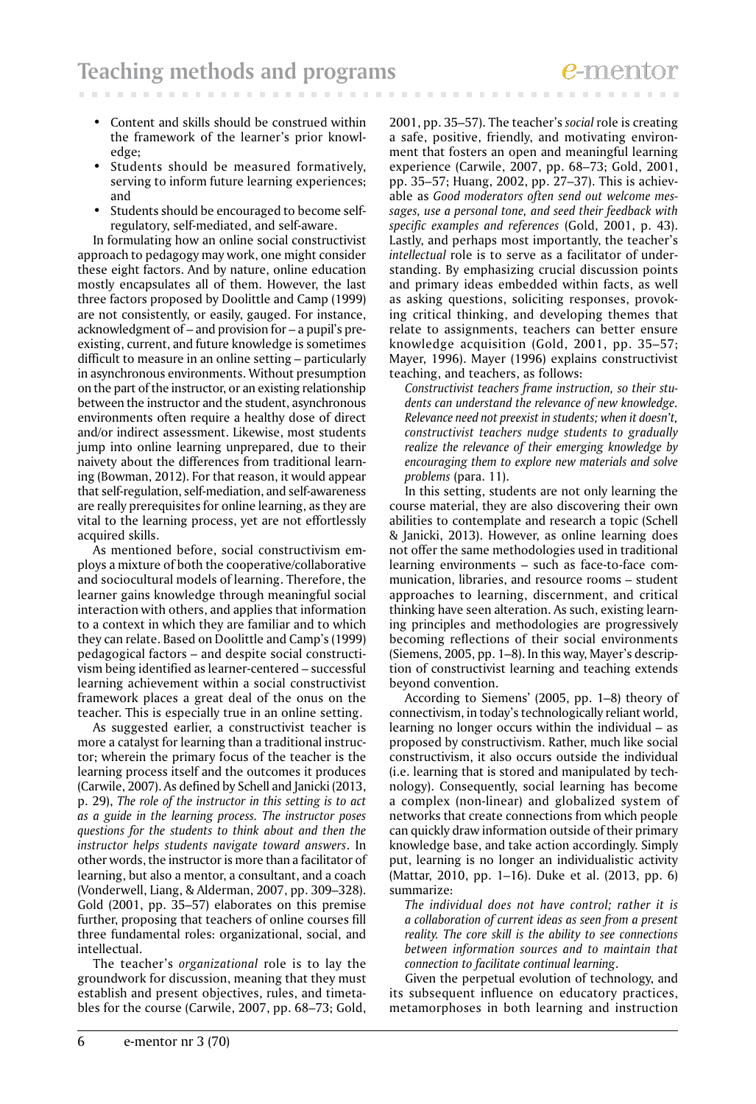- Content and skills should be construed within the framework of the learner's prior knowledge;
- Students should be measured formatively, serving to inform future learning experiences; and
- Students should be encouraged to become selfregulatory, self-mediated, and self-aware.

In formulating how an online social constructivist approach to pedagogy may work, one might consider these eight factors. And by nature, online education mostly encapsulates all of them. However, the last three factors proposed by Doolittle and Camp (1999) are not consistently, or easily, gauged. For instance, acknowledgment of – and provision for – a pupil's preexisting, current, and future knowledge is sometimes difficult to measure in an online setting – particularly in asynchronous environments. Without presumption on the part of the instructor, or an existing relationship between the instructor and the student, asynchronous environments often require a healthy dose of direct and/or indirect assessment. Likewise, most students jump into online learning unprepared, due to their naivety about the differences from traditional learning (Bowman, 2012). For that reason, it would appear that self-regulation, self-mediation, and self-awareness are really prerequisites for online learning, as they are vital to the learning process, yet are not effortlessly acquired skills.

As mentioned before, social constructivism employs a mixture of both the cooperative/collaborative and sociocultural models of learning. Therefore, the learner gains knowledge through meaningful social interaction with others, and applies that information to a context in which they are familiar and to which they can relate. Based on Doolittle and Camp's (1999) pedagogical factors – and despite social constructivism being identified as learner-centered – successful learning achievement within a social constructivist framework places a great deal of the onus on the teacher. This is especially true in an online setting.

As suggested earlier, a constructivist teacher is more a catalyst for learning than a traditional instructor; wherein the primary focus of the teacher is the learning process itself and the outcomes it produces (Carwile, 2007). As defined by Schell and Janicki (2013, p. 29), *The role of the instructor in this setting is to act as a guide in the learning process. The instructor poses questions for the students to think about and then the instructor helps students navigate toward answers*. In other words, the instructor is more than a facilitator of learning, but also a mentor, a consultant, and a coach (Vonderwell, Liang, & Alderman, 2007, pp. 309–328). Gold (2001, pp. 35–57) elaborates on this premise further, proposing that teachers of online courses fill three fundamental roles: organizational, social, and intellectual.

The teacher's *organizational* role is to lay the groundwork for discussion, meaning that they must establish and present objectives, rules, and timetables for the course (Carwile, 2007, pp. 68–73; Gold,

2001, pp. 35–57). The teacher's *social* role is creating a safe, positive, friendly, and motivating environment that fosters an open and meaningful learning experience (Carwile, 2007, pp. 68–73; Gold, 2001, pp. 35–57; Huang, 2002, pp. 27–37). This is achievable as *Good moderators often send out welcome messages, use a personal tone, and seed their feedback with specific examples and references* (Gold, 2001, p. 43). Lastly, and perhaps most importantly, the teacher's *intellectual* role is to serve as a facilitator of understanding. By emphasizing crucial discussion points and primary ideas embedded within facts, as well as asking questions, soliciting responses, provoking critical thinking, and developing themes that relate to assignments, teachers can better ensure knowledge acquisition (Gold, 2001, pp. 35–57; Mayer, 1996). Mayer (1996) explains constructivist teaching, and teachers, as follows:

 *Constructivist teachers frame instruction, so their students can understand the relevance of new knowledge. Relevance need not preexist in students; when it doesn't, constructivist teachers nudge students to gradually realize the relevance of their emerging knowledge by encouraging them to explore new materials and solve problems* (para. 11).

In this setting, students are not only learning the course material, they are also discovering their own abilities to contemplate and research a topic (Schell & Janicki, 2013). However, as online learning does not offer the same methodologies used in traditional learning environments – such as face-to-face communication, libraries, and resource rooms – student approaches to learning, discernment, and critical thinking have seen alteration. As such, existing learning principles and methodologies are progressively becoming reflections of their social environments (Siemens, 2005, pp. 1–8). In this way, Mayer's description of constructivist learning and teaching extends beyond convention.

According to Siemens' (2005, pp. 1–8) theory of connectivism, in today's technologically reliant world, learning no longer occurs within the individual – as proposed by constructivism. Rather, much like social constructivism, it also occurs outside the individual (i.e. learning that is stored and manipulated by technology). Consequently, social learning has become a complex (non-linear) and globalized system of networks that create connections from which people can quickly draw information outside of their primary knowledge base, and take action accordingly. Simply put, learning is no longer an individualistic activity (Mattar, 2010, pp. 1–16). Duke et al. (2013, pp. 6) summarize:

 *The individual does not have control; rather it is a collaboration of current ideas as seen from a present reality. The core skill is the ability to see connections between information sources and to maintain that connection to facilitate continual learning*.

Given the perpetual evolution of technology, and its subsequent influence on educatory practices, metamorphoses in both learning and instruction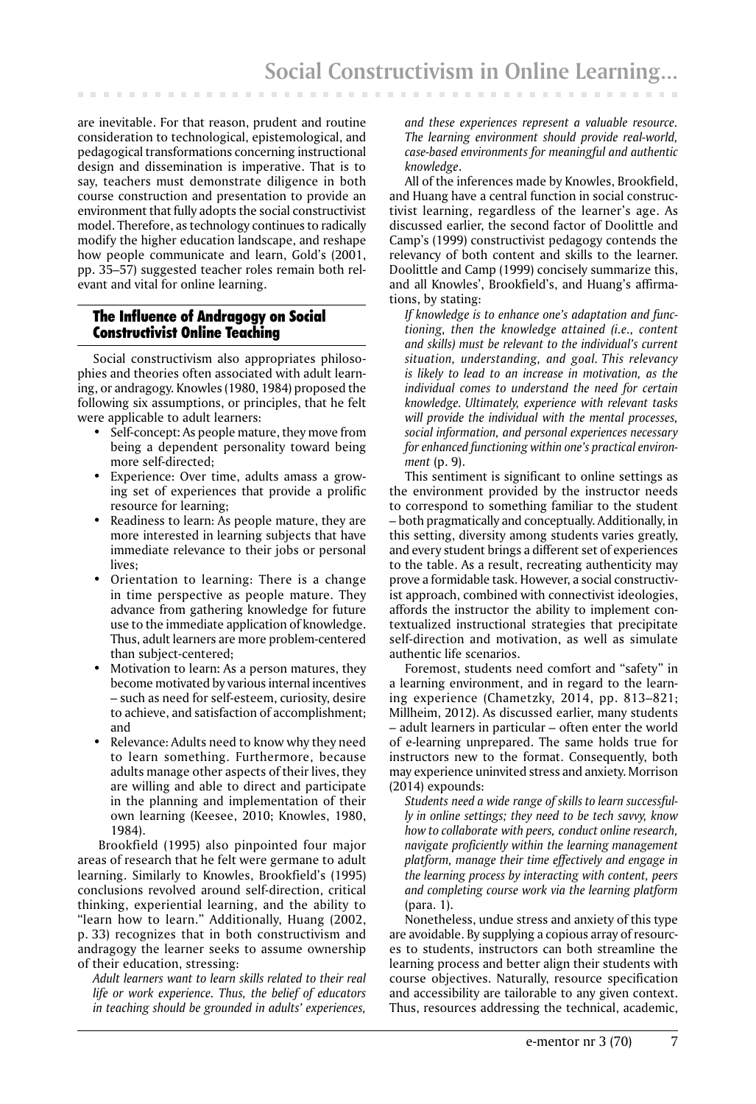are inevitable. For that reason, prudent and routine consideration to technological, epistemological, and pedagogical transformations concerning instructional design and dissemination is imperative. That is to say, teachers must demonstrate diligence in both course construction and presentation to provide an environment that fully adopts the social constructivist model. Therefore, as technology continues to radically modify the higher education landscape, and reshape how people communicate and learn, Gold's (2001, pp. 35–57) suggested teacher roles remain both relevant and vital for online learning.

# The Influence of Andragogy on Social Constructivist Online Teaching

Social constructivism also appropriates philosophies and theories often associated with adult learning, or andragogy. Knowles (1980, 1984) proposed the following six assumptions, or principles, that he felt were applicable to adult learners:

- Self-concept**:** As people mature, they move from being a dependent personality toward being more self-directed;
- Experience: Over time, adults amass a growing set of experiences that provide a prolific resource for learning;
- Readiness to learn: As people mature, they are more interested in learning subjects that have immediate relevance to their jobs or personal lives;
- Orientation to learning: There is a change in time perspective as people mature. They advance from gathering knowledge for future use to the immediate application of knowledge. Thus, adult learners are more problem-centered than subject-centered;
- Motivation to learn**:** As a person matures, they become motivated by various internal incentives – such as need for self-esteem, curiosity, desire to achieve, and satisfaction of accomplishment; and
- Relevance: Adults need to know why they need to learn something. Furthermore, because adults manage other aspects of their lives, they are willing and able to direct and participate in the planning and implementation of their own learning (Keesee, 2010; Knowles, 1980, 1984).

 Brookfield (1995) also pinpointed four major areas of research that he felt were germane to adult learning. Similarly to Knowles, Brookfield's (1995) conclusions revolved around self-direction, critical thinking, experiential learning, and the ability to "learn how to learn." Additionally, Huang (2002, p. 33) recognizes that in both constructivism and andragogy the learner seeks to assume ownership of their education, stressing:

 *Adult learners want to learn skills related to their real life or work experience. Thus, the belief of educators in teaching should be grounded in adults' experiences,* 

*and these experiences represent a valuable resource. The learning environment should provide real-world, case-based environments for meaningful and authentic knowledge*.

All of the inferences made by Knowles, Brookfield, and Huang have a central function in social constructivist learning, regardless of the learner's age. As discussed earlier, the second factor of Doolittle and Camp's (1999) constructivist pedagogy contends the relevancy of both content and skills to the learner. Doolittle and Camp (1999) concisely summarize this, and all Knowles', Brookfield's, and Huang's affirmations, by stating:

 *If knowledge is to enhance one's adaptation and functioning, then the knowledge attained (i.e., content and skills) must be relevant to the individual's current situation, understanding, and goal. This relevancy is likely to lead to an increase in motivation, as the individual comes to understand the need for certain knowledge. Ultimately, experience with relevant tasks will provide the individual with the mental processes, social information, and personal experiences necessary for enhanced functioning within one's practical environment* (p. 9).

This sentiment is significant to online settings as the environment provided by the instructor needs to correspond to something familiar to the student – both pragmatically and conceptually. Additionally, in this setting, diversity among students varies greatly, and every student brings a different set of experiences to the table. As a result, recreating authenticity may prove a formidable task. However, a social constructivist approach, combined with connectivist ideologies, affords the instructor the ability to implement contextualized instructional strategies that precipitate self-direction and motivation, as well as simulate authentic life scenarios.

Foremost, students need comfort and "safety" in a learning environment, and in regard to the learning experience (Chametzky, 2014, pp. 813–821; Millheim, 2012). As discussed earlier, many students – adult learners in particular – often enter the world of e-learning unprepared. The same holds true for instructors new to the format. Consequently, both may experience uninvited stress and anxiety. Morrison (2014) expounds:

 *Students need a wide range of skills to learn successfully in online settings; they need to be tech savvy, know how to collaborate with peers, conduct online research, navigate proficiently within the learning management platform, manage their time effectively and engage in the learning process by interacting with content, peers and completing course work via the learning platform* (para. 1).

Nonetheless, undue stress and anxiety of this type are avoidable. By supplying a copious array of resources to students, instructors can both streamline the learning process and better align their students with course objectives. Naturally, resource specification and accessibility are tailorable to any given context. Thus, resources addressing the technical, academic,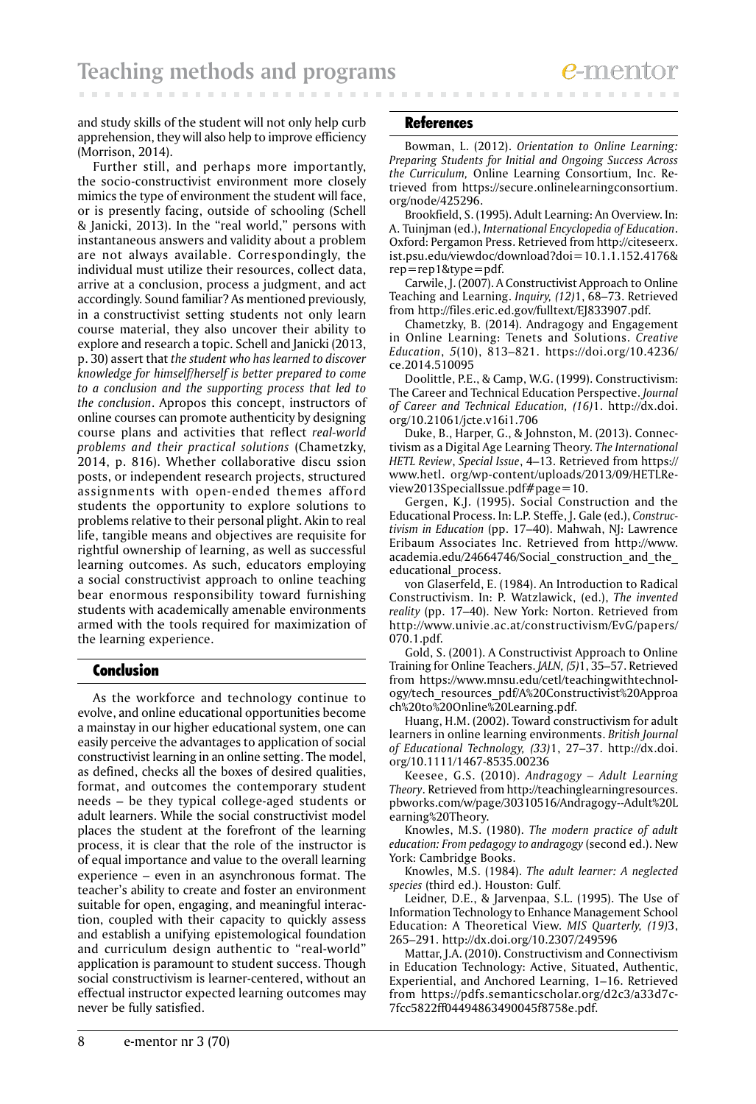and study skills of the student will not only help curb apprehension, they will also help to improve efficiency (Morrison, 2014).

Further still, and perhaps more importantly, the socio-constructivist environment more closely mimics the type of environment the student will face, or is presently facing, outside of schooling (Schell & Janicki, 2013). In the "real world," persons with instantaneous answers and validity about a problem are not always available. Correspondingly, the individual must utilize their resources, collect data, arrive at a conclusion, process a judgment, and act accordingly. Sound familiar? As mentioned previously, in a constructivist setting students not only learn course material, they also uncover their ability to explore and research a topic. Schell and Janicki (2013, p. 30) assert that *the student who has learned to discover knowledge for himself/herself is better prepared to come to a conclusion and the supporting process that led to the conclusion*. Apropos this concept, instructors of online courses can promote authenticity by designing course plans and activities that reflect *real-world problems and their practical solutions* (Chametzky, 2014, p. 816). Whether collaborative discu ssion posts, or independent research projects, structured assignments with open-ended themes afford students the opportunity to explore solutions to problems relative to their personal plight. Akin to real life, tangible means and objectives are requisite for rightful ownership of learning, as well as successful learning outcomes. As such, educators employing a social constructivist approach to online teaching bear enormous responsibility toward furnishing students with academically amenable environments armed with the tools required for maximization of the learning experience.

## Conclusion

As the workforce and technology continue to evolve, and online educational opportunities become a mainstay in our higher educational system, one can easily perceive the advantages to application of social constructivist learning in an online setting. The model, as defined, checks all the boxes of desired qualities, format, and outcomes the contemporary student needs – be they typical college-aged students or adult learners. While the social constructivist model places the student at the forefront of the learning process, it is clear that the role of the instructor is of equal importance and value to the overall learning experience – even in an asynchronous format. The teacher's ability to create and foster an environment suitable for open, engaging, and meaningful interaction, coupled with their capacity to quickly assess and establish a unifying epistemological foundation and curriculum design authentic to "real-world" application is paramount to student success. Though social constructivism is learner-centered, without an effectual instructor expected learning outcomes may never be fully satisfied.

#### **References**

Bowman, L. (2012). *Orientation to Online Learning: Preparing Students for Initial and Ongoing Success Across the Curriculum,* Online Learning Consortium, Inc. Retrieved from https://secure.onlinelearningconsortium. org/node/425296.

Brookfield, S. (1995). Adult Learning: An Overview. In: A. Tuinjman (ed.), *International Encyclopedia of Education*. Oxford: Pergamon Press. Retrieved from http://citeseerx. ist.psu.edu/viewdoc/download?doi=10.1.1.152.4176& rep=rep1&type=pdf.

Carwile, J. (2007). A Constructivist Approach to Online Teaching and Learning. *Inquiry, (12)*1, 68–73. Retrieved from http://files.eric.ed.gov/fulltext/EJ833907.pdf.

Chametzky, B. (2014). Andragogy and Engagement in Online Learning: Tenets and Solutions. *Creative Education*, *5*(10), 813–821. https://doi.org/10.4236/ ce.2014.510095

Doolittle, P.E., & Camp, W.G. (1999). Constructivism: The Career and Technical Education Perspective. *Journal of Career and Technical Education, (16)*1. http://dx.doi. org/10.21061/jcte.v16i1.706

Duke, B., Harper, G., & Johnston, M. (2013). Connectivism as a Digital Age Learning Theory. *The International HETL Review*, *Special Issue*, 4–13. Retrieved from https:// www.hetl. org/wp-content/uploads/2013/09/HETLReview2013SpecialIssue.pdf#page=10.

Gergen, K.J. (1995). Social Construction and the Educational Process. In: L.P. Steffe, J. Gale (ed.), *Constructivism in Education* (pp. 17–40). Mahwah, NJ: Lawrence Eribaum Associates Inc. Retrieved from http://www. academia.edu/24664746/Social construction and the educational\_process.

von Glaserfeld, E. (1984). An Introduction to Radical Constructivism. In: P. Watzlawick, (ed.), *The invented reality* (pp. 17–40). New York: Norton. Retrieved from http://www.univie.ac.at/constructivism/EvG/papers/ 070.1.pdf.

Gold, S. (2001). A Constructivist Approach to Online Training for Online Teachers. *JALN, (5)*1, 35–57. Retrieved from https://www.mnsu.edu/cetl/teachingwithtechnology/tech\_resources\_pdf/A%20Constructivist%20Approa ch%20to%20Online%20Learning.pdf.

Huang, H.M. (2002). Toward constructivism for adult learners in online learning environments. *British Journal of Educational Technology, (33)*1, 27–37. http://dx.doi. org/10.1111/1467-8535.00236

Keesee, G.S. (2010). *Andragogy – Adult Learning Theory*. Retrieved from http://teachinglearningresources. pbworks.com/w/page/30310516/Andragogy--Adult%20L earning%20Theory.

Knowles, M.S. (1980). *The modern practice of adult education: From pedagogy to andragogy* (second ed.). New York: Cambridge Books.

Knowles, M.S. (1984). *The adult learner: A neglected species* (third ed.). Houston: Gulf.

Leidner, D.E., & Jarvenpaa, S.L. (1995). The Use of Information Technology to Enhance Management School Education: A Theoretical View. *MIS Quarterly, (19)*3, 265–291. http://dx.doi.org/10.2307/249596

Mattar, J.A. (2010). Constructivism and Connectivism in Education Technology: Active, Situated, Authentic, Experiential, and Anchored Learning, 1–16. Retrieved from https://pdfs.semanticscholar.org/d2c3/a33d7c-7fcc5822ff04494863490045f8758e.pdf.